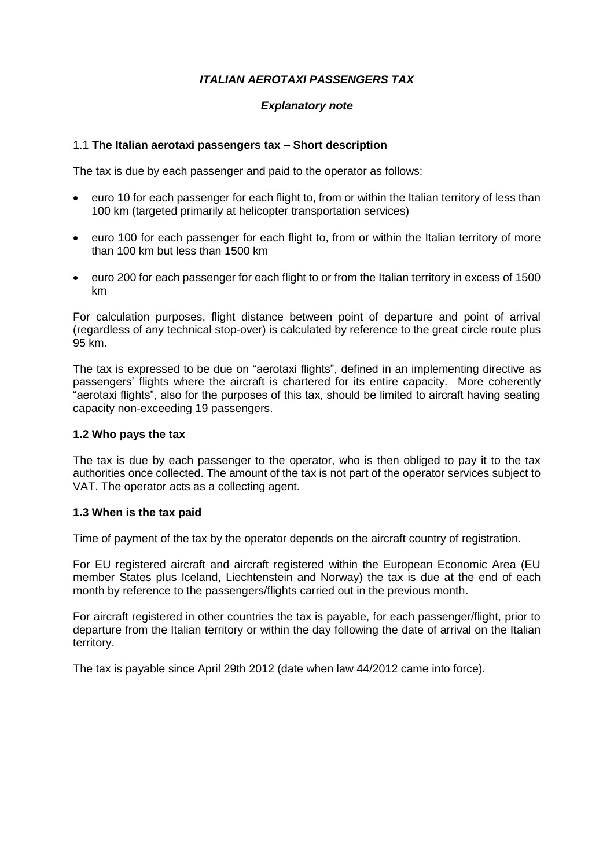# *ITALIAN AEROTAXI PASSENGERS TAX*

## *Explanatory note*

#### 1.1 **The Italian aerotaxi passengers tax – Short description**

The tax is due by each passenger and paid to the operator as follows:

- euro 10 for each passenger for each flight to, from or within the Italian territory of less than 100 km (targeted primarily at helicopter transportation services)
- euro 100 for each passenger for each flight to, from or within the Italian territory of more than 100 km but less than 1500 km
- euro 200 for each passenger for each flight to or from the Italian territory in excess of 1500 km

For calculation purposes, flight distance between point of departure and point of arrival (regardless of any technical stop-over) is calculated by reference to the great circle route plus 95 km.

The tax is expressed to be due on "aerotaxi flights", defined in an implementing directive as passengers' flights where the aircraft is chartered for its entire capacity. More coherently "aerotaxi flights", also for the purposes of this tax, should be limited to aircraft having seating capacity non-exceeding 19 passengers.

#### **1.2 Who pays the tax**

The tax is due by each passenger to the operator, who is then obliged to pay it to the tax authorities once collected. The amount of the tax is not part of the operator services subject to VAT. The operator acts as a collecting agent.

#### **1.3 When is the tax paid**

Time of payment of the tax by the operator depends on the aircraft country of registration.

For EU registered aircraft and aircraft registered within the European Economic Area (EU member States plus Iceland, Liechtenstein and Norway) the tax is due at the end of each month by reference to the passengers/flights carried out in the previous month.

For aircraft registered in other countries the tax is payable, for each passenger/flight, prior to departure from the Italian territory or within the day following the date of arrival on the Italian territory.

The tax is payable since April 29th 2012 (date when law 44/2012 came into force).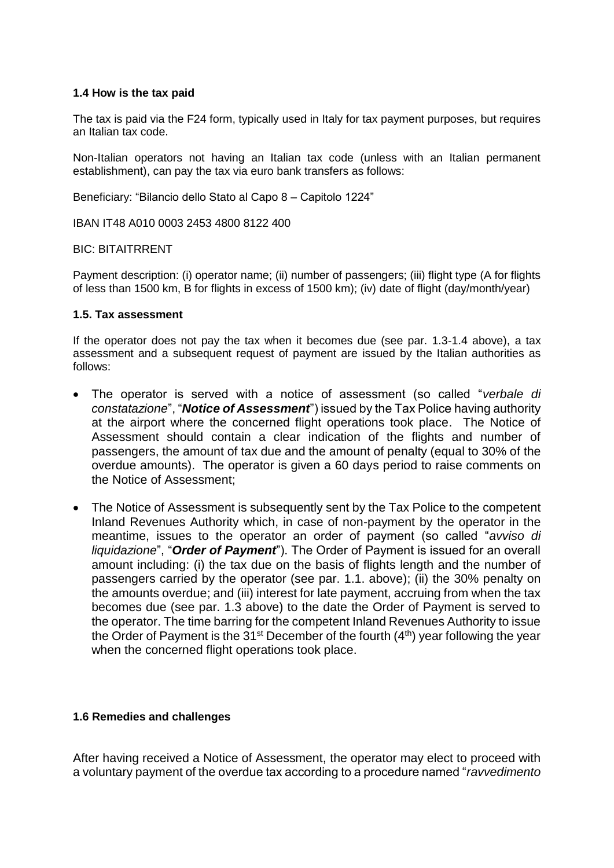# **1.4 How is the tax paid**

The tax is paid via the F24 form, typically used in Italy for tax payment purposes, but requires an Italian tax code.

Non-Italian operators not having an Italian tax code (unless with an Italian permanent establishment), can pay the tax via euro bank transfers as follows:

Beneficiary: "Bilancio dello Stato al Capo 8 – Capitolo 1224"

IBAN IT48 A010 0003 2453 4800 8122 400

## BIC: BITAITRRENT

Payment description: (i) operator name; (ii) number of passengers; (iii) flight type (A for flights of less than 1500 km, B for flights in excess of 1500 km); (iv) date of flight (day/month/year)

## **1.5. Tax assessment**

If the operator does not pay the tax when it becomes due (see par. 1.3-1.4 above), a tax assessment and a subsequent request of payment are issued by the Italian authorities as follows:

- The operator is served with a notice of assessment (so called "*verbale di constatazione*", "*Notice of Assessment*") issued by the Tax Police having authority at the airport where the concerned flight operations took place. The Notice of Assessment should contain a clear indication of the flights and number of passengers, the amount of tax due and the amount of penalty (equal to 30% of the overdue amounts). The operator is given a 60 days period to raise comments on the Notice of Assessment;
- The Notice of Assessment is subsequently sent by the Tax Police to the competent Inland Revenues Authority which, in case of non-payment by the operator in the meantime, issues to the operator an order of payment (so called "*avviso di liquidazione*", "*Order of Payment*"). The Order of Payment is issued for an overall amount including: (i) the tax due on the basis of flights length and the number of passengers carried by the operator (see par. 1.1. above); (ii) the 30% penalty on the amounts overdue; and (iii) interest for late payment, accruing from when the tax becomes due (see par. 1.3 above) to the date the Order of Payment is served to the operator. The time barring for the competent Inland Revenues Authority to issue the Order of Payment is the  $31<sup>st</sup>$  December of the fourth  $(4<sup>th</sup>)$  year following the year when the concerned flight operations took place.

# **1.6 Remedies and challenges**

After having received a Notice of Assessment, the operator may elect to proceed with a voluntary payment of the overdue tax according to a procedure named "*ravvedimento*